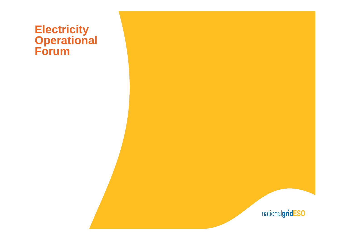# **Electricity Operational Forum**

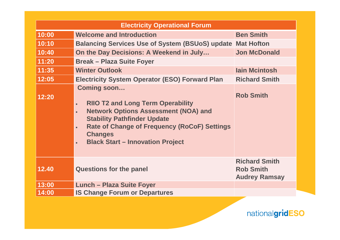| <b>Electricity Operational Forum</b> |                                                                                                                                                                                                                                                                  |                                                                  |
|--------------------------------------|------------------------------------------------------------------------------------------------------------------------------------------------------------------------------------------------------------------------------------------------------------------|------------------------------------------------------------------|
| 10:00                                | <b>Welcome and Introduction</b>                                                                                                                                                                                                                                  | <b>Ben Smith</b>                                                 |
| 10:10                                | <b>Balancing Services Use of System (BSUoS) update Mat Hofton</b>                                                                                                                                                                                                |                                                                  |
| 10:40                                | On the Day Decisions: A Weekend in July                                                                                                                                                                                                                          | <b>Jon McDonald</b>                                              |
| 11:20                                | <b>Break - Plaza Suite Foyer</b>                                                                                                                                                                                                                                 |                                                                  |
| 11:35                                | <b>Winter Outlook</b>                                                                                                                                                                                                                                            | <b>lain Mcintosh</b>                                             |
| 12:05                                | <b>Electricity System Operator (ESO) Forward Plan</b>                                                                                                                                                                                                            | <b>Richard Smith</b>                                             |
| 12:20                                | Coming soon<br><b>RIIO T2 and Long Term Operability</b><br><b>Network Options Assessment (NOA) and</b><br><b>Stability Pathfinder Update</b><br><b>Rate of Change of Frequency (RoCoF) Settings</b><br><b>Changes</b><br><b>Black Start - Innovation Project</b> | <b>Rob Smith</b>                                                 |
| 12.40                                | <b>Questions for the panel</b>                                                                                                                                                                                                                                   | <b>Richard Smith</b><br><b>Rob Smith</b><br><b>Audrey Ramsay</b> |
| 13:00                                | <b>Lunch - Plaza Suite Foyer</b>                                                                                                                                                                                                                                 |                                                                  |
| 14:00                                | <b>IS Change Forum or Departures</b>                                                                                                                                                                                                                             |                                                                  |

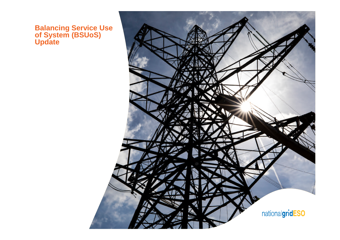#### **Balancing Service Use of System (BSUoS) Update**

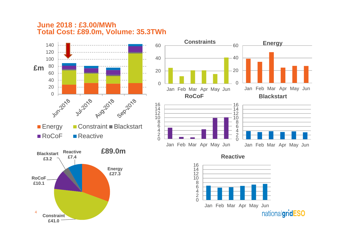#### **June 2018 : £3.00/MWh Total Cost: £89.0m, Volume: 35.3TWh**

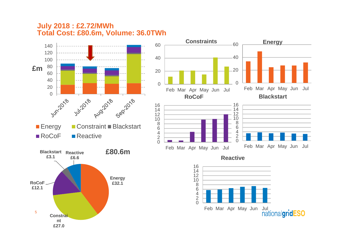#### **July 2018 : £2.72/MWh Total Cost: £80.6m, Volume: 36.0TWh**

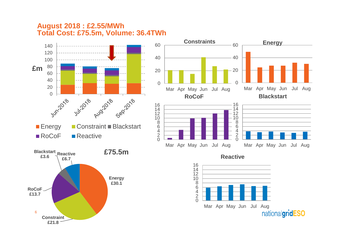#### **August 2018 : £2.55/MWh Total Cost: £75.5m, Volume: 36.4TWh**

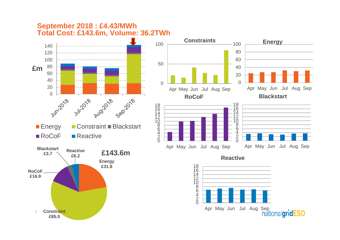#### **September 2018 : £4.43/MWh Total Cost: £143.6m, Volume: 36.2TWh**





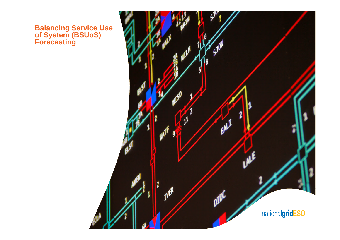#### **Balancing Service Use of System (BSUoS) Forecasting**

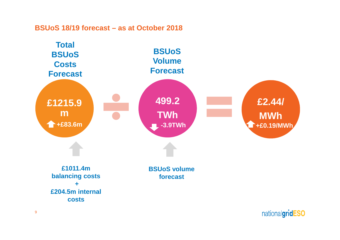#### **BSUoS 18/19 forecast – as at October 2018**

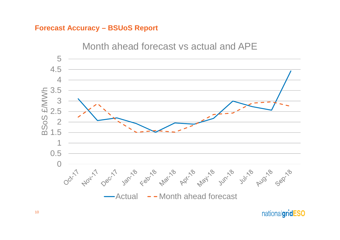#### **Forecast Accuracy – BSUoS Report**

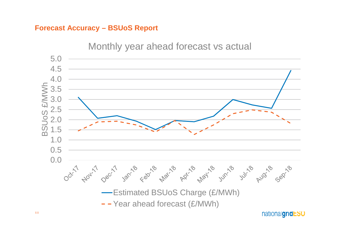#### **Forecast Accuracy – BSUoS Report**



11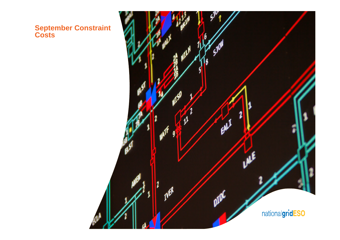**September Constraint Costs**

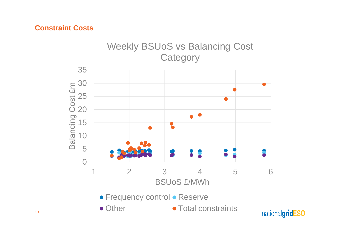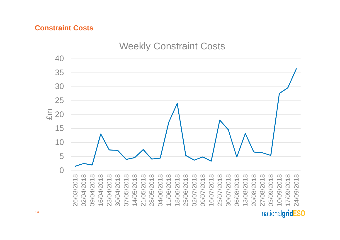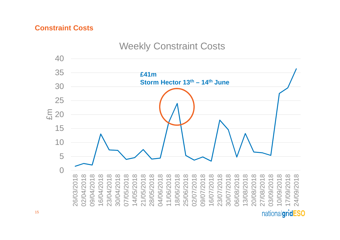

Weekly Constraint Costs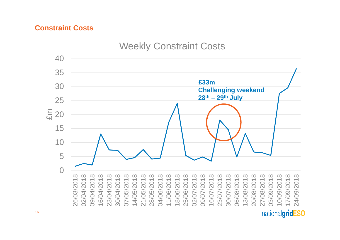

## Weekly Constraint Costs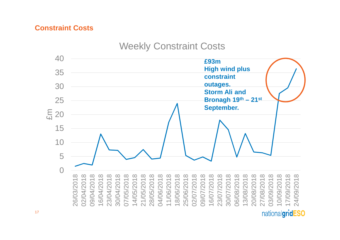# Weekly Constraint Costs